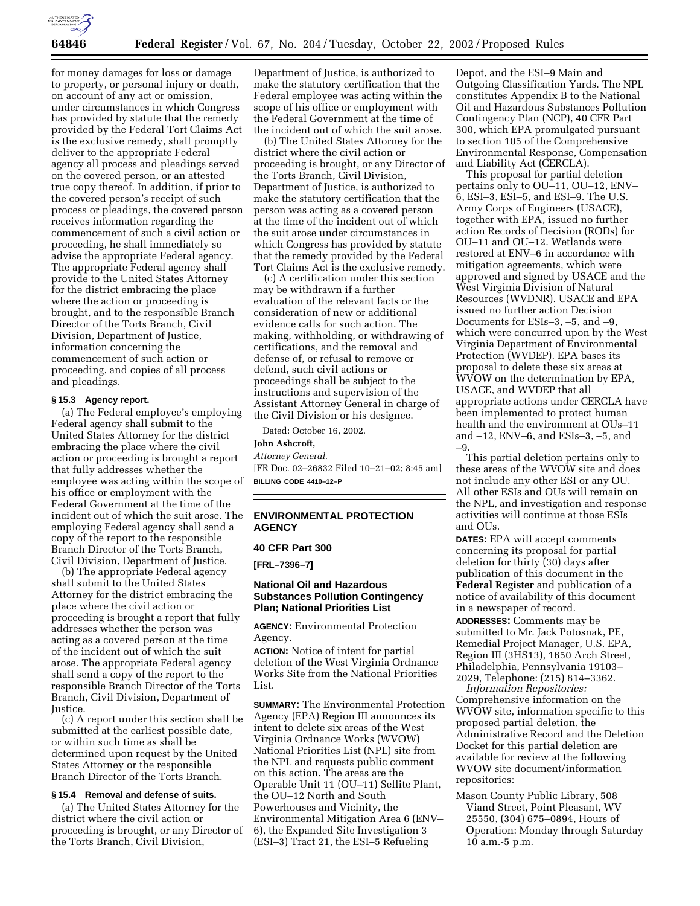

for money damages for loss or damage to property, or personal injury or death, on account of any act or omission, under circumstances in which Congress has provided by statute that the remedy provided by the Federal Tort Claims Act is the exclusive remedy, shall promptly deliver to the appropriate Federal agency all process and pleadings served on the covered person, or an attested true copy thereof. In addition, if prior to the covered person's receipt of such process or pleadings, the covered person receives information regarding the commencement of such a civil action or proceeding, he shall immediately so advise the appropriate Federal agency. The appropriate Federal agency shall provide to the United States Attorney for the district embracing the place where the action or proceeding is brought, and to the responsible Branch Director of the Torts Branch, Civil Division, Department of Justice, information concerning the commencement of such action or proceeding, and copies of all process and pleadings.

#### **§ 15.3 Agency report.**

(a) The Federal employee's employing Federal agency shall submit to the United States Attorney for the district embracing the place where the civil action or proceeding is brought a report that fully addresses whether the employee was acting within the scope of his office or employment with the Federal Government at the time of the incident out of which the suit arose. The employing Federal agency shall send a copy of the report to the responsible Branch Director of the Torts Branch, Civil Division, Department of Justice.

(b) The appropriate Federal agency shall submit to the United States Attorney for the district embracing the place where the civil action or proceeding is brought a report that fully addresses whether the person was acting as a covered person at the time of the incident out of which the suit arose. The appropriate Federal agency shall send a copy of the report to the responsible Branch Director of the Torts Branch, Civil Division, Department of Justice.

(c) A report under this section shall be submitted at the earliest possible date, or within such time as shall be determined upon request by the United States Attorney or the responsible Branch Director of the Torts Branch.

## **§ 15.4 Removal and defense of suits.**

(a) The United States Attorney for the district where the civil action or proceeding is brought, or any Director of the Torts Branch, Civil Division,

Department of Justice, is authorized to make the statutory certification that the Federal employee was acting within the scope of his office or employment with the Federal Government at the time of the incident out of which the suit arose.

(b) The United States Attorney for the district where the civil action or proceeding is brought, or any Director of the Torts Branch, Civil Division, Department of Justice, is authorized to make the statutory certification that the person was acting as a covered person at the time of the incident out of which the suit arose under circumstances in which Congress has provided by statute that the remedy provided by the Federal Tort Claims Act is the exclusive remedy.

(c) A certification under this section may be withdrawn if a further evaluation of the relevant facts or the consideration of new or additional evidence calls for such action. The making, withholding, or withdrawing of certifications, and the removal and defense of, or refusal to remove or defend, such civil actions or proceedings shall be subject to the instructions and supervision of the Assistant Attorney General in charge of the Civil Division or his designee.

Dated: October 16, 2002.

**John Ashcroft,** 

*Attorney General.*

[FR Doc. 02–26832 Filed 10–21–02; 8:45 am] **BILLING CODE 4410–12–P**

## **ENVIRONMENTAL PROTECTION AGENCY**

#### **40 CFR Part 300**

**[FRL–7396–7]** 

## **National Oil and Hazardous Substances Pollution Contingency Plan; National Priorities List**

**AGENCY:** Environmental Protection Agency.

**ACTION:** Notice of intent for partial deletion of the West Virginia Ordnance Works Site from the National Priorities List.

**SUMMARY:** The Environmental Protection Agency (EPA) Region III announces its intent to delete six areas of the West Virginia Ordnance Works (WVOW) National Priorities List (NPL) site from the NPL and requests public comment on this action. The areas are the Operable Unit 11 (OU–11) Sellite Plant, the OU–12 North and South Powerhouses and Vicinity, the Environmental Mitigation Area 6 (ENV– 6), the Expanded Site Investigation 3 (ESI–3) Tract 21, the ESI–5 Refueling

Depot, and the ESI–9 Main and Outgoing Classification Yards. The NPL constitutes Appendix B to the National Oil and Hazardous Substances Pollution Contingency Plan (NCP), 40 CFR Part 300, which EPA promulgated pursuant to section 105 of the Comprehensive Environmental Response, Compensation and Liability Act (CERCLA).

This proposal for partial deletion pertains only to OU–11, OU–12, ENV– 6, ESI–3, ESI–5, and ESI–9. The U.S. Army Corps of Engineers (USACE), together with EPA, issued no further action Records of Decision (RODs) for OU–11 and OU–12. Wetlands were restored at ENV–6 in accordance with mitigation agreements, which were approved and signed by USACE and the West Virginia Division of Natural Resources (WVDNR). USACE and EPA issued no further action Decision Documents for ESIs–3, –5, and –9, which were concurred upon by the West Virginia Department of Environmental Protection (WVDEP). EPA bases its proposal to delete these six areas at WVOW on the determination by EPA, USACE, and WVDEP that all appropriate actions under CERCLA have been implemented to protect human health and the environment at OUs–11 and –12, ENV–6, and ESIs–3, –5, and –9.

This partial deletion pertains only to these areas of the WVOW site and does not include any other ESI or any OU. All other ESIs and OUs will remain on the NPL, and investigation and response activities will continue at those ESIs and OUs.

**DATES:** EPA will accept comments concerning its proposal for partial deletion for thirty (30) days after publication of this document in the **Federal Register** and publication of a notice of availability of this document in a newspaper of record.

**ADDRESSES:** Comments may be submitted to Mr. Jack Potosnak, PE, Remedial Project Manager, U.S. EPA, Region III (3HS13), 1650 Arch Street, Philadelphia, Pennsylvania 19103– 2029, Telephone: (215) 814–3362. *Information Repositories:*

Comprehensive information on the WVOW site, information specific to this proposed partial deletion, the Administrative Record and the Deletion Docket for this partial deletion are available for review at the following WVOW site document/information repositories:

Mason County Public Library, 508 Viand Street, Point Pleasant, WV 25550, (304) 675–0894, Hours of Operation: Monday through Saturday 10 a.m.-5 p.m.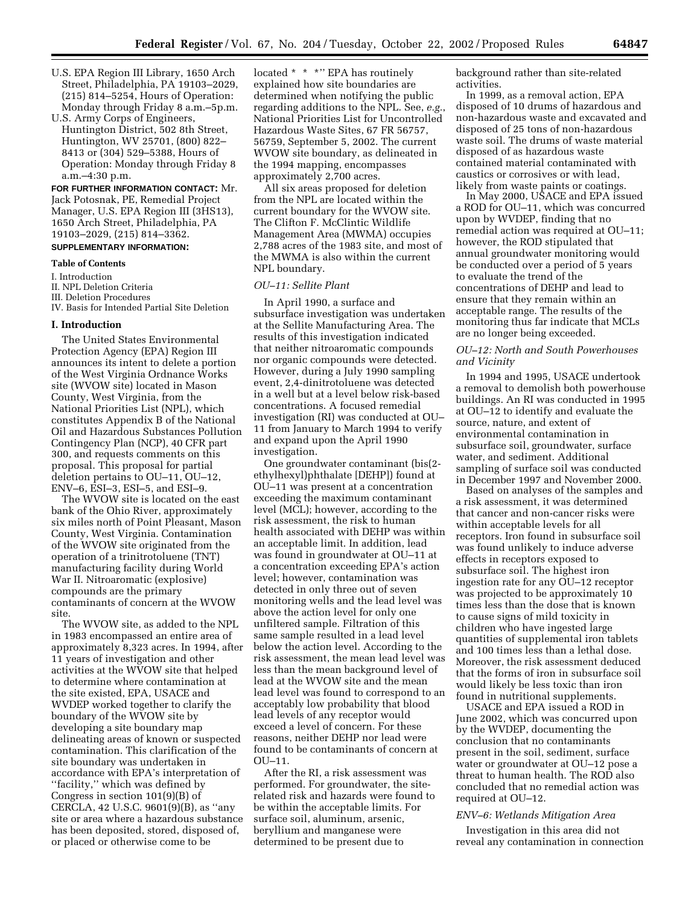- U.S. EPA Region III Library, 1650 Arch Street, Philadelphia, PA 19103–2029, (215) 814–5254, Hours of Operation: Monday through Friday 8 a.m.–5p.m.
- U.S. Army Corps of Engineers, Huntington District, 502 8th Street, Huntington, WV 25701, (800) 822– 8413 or (304) 529–5388, Hours of Operation: Monday through Friday 8 a.m.–4:30 p.m.

**FOR FURTHER INFORMATION CONTACT:** Mr. Jack Potosnak, PE, Remedial Project Manager, U.S. EPA Region III (3HS13), 1650 Arch Street, Philadelphia, PA 19103–2029, (215) 814–3362.

# **SUPPLEMENTARY INFORMATION:**

## **Table of Contents**

I. Introduction

II. NPL Deletion Criteria

- III. Deletion Procedures
- IV. Basis for Intended Partial Site Deletion

## **I. Introduction**

The United States Environmental Protection Agency (EPA) Region III announces its intent to delete a portion of the West Virginia Ordnance Works site (WVOW site) located in Mason County, West Virginia, from the National Priorities List (NPL), which constitutes Appendix B of the National Oil and Hazardous Substances Pollution Contingency Plan (NCP), 40 CFR part 300, and requests comments on this proposal. This proposal for partial deletion pertains to OU–11, OU–12, ENV–6, ESI–3, ESI–5, and ESI–9.

The WVOW site is located on the east bank of the Ohio River, approximately six miles north of Point Pleasant, Mason County, West Virginia. Contamination of the WVOW site originated from the operation of a trinitrotoluene (TNT) manufacturing facility during World War II. Nitroaromatic (explosive) compounds are the primary contaminants of concern at the WVOW site.

The WVOW site, as added to the NPL in 1983 encompassed an entire area of approximately 8,323 acres. In 1994, after 11 years of investigation and other activities at the WVOW site that helped to determine where contamination at the site existed, EPA, USACE and WVDEP worked together to clarify the boundary of the WVOW site by developing a site boundary map delineating areas of known or suspected contamination. This clarification of the site boundary was undertaken in accordance with EPA's interpretation of ''facility,'' which was defined by Congress in section 101(9)(B) of CERCLA, 42 U.S.C. 9601(9)(B), as ''any site or area where a hazardous substance has been deposited, stored, disposed of, or placed or otherwise come to be

located \* \* \*" EPA has routinely explained how site boundaries are determined when notifying the public regarding additions to the NPL. See, *e.g.*, National Priorities List for Uncontrolled Hazardous Waste Sites, 67 FR 56757, 56759, September 5, 2002. The current WVOW site boundary, as delineated in the 1994 mapping, encompasses approximately 2,700 acres.

All six areas proposed for deletion from the NPL are located within the current boundary for the WVOW site. The Clifton F. McClintic Wildlife Management Area (MWMA) occupies 2,788 acres of the 1983 site, and most of the MWMA is also within the current NPL boundary.

#### *OU–11: Sellite Plant*

In April 1990, a surface and subsurface investigation was undertaken at the Sellite Manufacturing Area. The results of this investigation indicated that neither nitroaromatic compounds nor organic compounds were detected. However, during a July 1990 sampling event, 2,4-dinitrotoluene was detected in a well but at a level below risk-based concentrations. A focused remedial investigation (RI) was conducted at OU– 11 from January to March 1994 to verify and expand upon the April 1990 investigation.

One groundwater contaminant (bis(2 ethylhexyl)phthalate [DEHP]) found at OU–11 was present at a concentration exceeding the maximum contaminant level (MCL); however, according to the risk assessment, the risk to human health associated with DEHP was within an acceptable limit. In addition, lead was found in groundwater at OU–11 at a concentration exceeding EPA's action level; however, contamination was detected in only three out of seven monitoring wells and the lead level was above the action level for only one unfiltered sample. Filtration of this same sample resulted in a lead level below the action level. According to the risk assessment, the mean lead level was less than the mean background level of lead at the WVOW site and the mean lead level was found to correspond to an acceptably low probability that blood lead levels of any receptor would exceed a level of concern. For these reasons, neither DEHP nor lead were found to be contaminants of concern at  $O$ U–11.

After the RI, a risk assessment was performed. For groundwater, the siterelated risk and hazards were found to be within the acceptable limits. For surface soil, aluminum, arsenic, beryllium and manganese were determined to be present due to

background rather than site-related activities.

In 1999, as a removal action, EPA disposed of 10 drums of hazardous and non-hazardous waste and excavated and disposed of 25 tons of non-hazardous waste soil. The drums of waste material disposed of as hazardous waste contained material contaminated with caustics or corrosives or with lead, likely from waste paints or coatings.

In May 2000, USACE and EPA issued a ROD for OU–11, which was concurred upon by WVDEP, finding that no remedial action was required at OU–11; however, the ROD stipulated that annual groundwater monitoring would be conducted over a period of 5 years to evaluate the trend of the concentrations of DEHP and lead to ensure that they remain within an acceptable range. The results of the monitoring thus far indicate that MCLs are no longer being exceeded.

## *OU–12: North and South Powerhouses and Vicinity*

In 1994 and 1995, USACE undertook a removal to demolish both powerhouse buildings. An RI was conducted in 1995 at OU–12 to identify and evaluate the source, nature, and extent of environmental contamination in subsurface soil, groundwater, surface water, and sediment. Additional sampling of surface soil was conducted in December 1997 and November 2000.

Based on analyses of the samples and a risk assessment, it was determined that cancer and non-cancer risks were within acceptable levels for all receptors. Iron found in subsurface soil was found unlikely to induce adverse effects in receptors exposed to subsurface soil. The highest iron ingestion rate for any OU–12 receptor was projected to be approximately 10 times less than the dose that is known to cause signs of mild toxicity in children who have ingested large quantities of supplemental iron tablets and 100 times less than a lethal dose. Moreover, the risk assessment deduced that the forms of iron in subsurface soil would likely be less toxic than iron found in nutritional supplements.

USACE and EPA issued a ROD in June 2002, which was concurred upon by the WVDEP, documenting the conclusion that no contaminants present in the soil, sediment, surface water or groundwater at OU–12 pose a threat to human health. The ROD also concluded that no remedial action was required at OU–12.

#### *ENV–6: Wetlands Mitigation Area*

Investigation in this area did not reveal any contamination in connection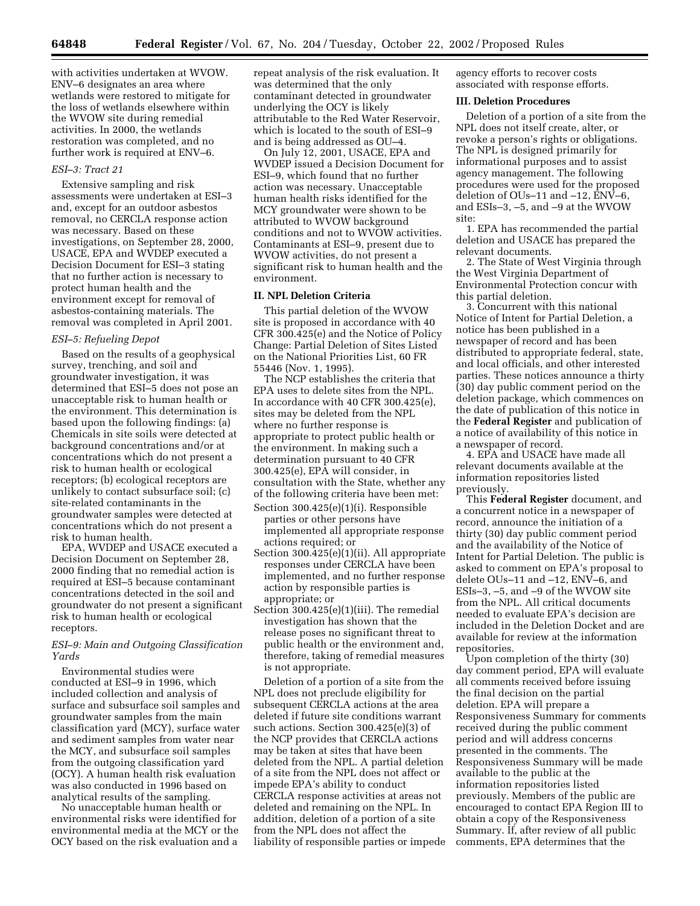with activities undertaken at WVOW. ENV–6 designates an area where wetlands were restored to mitigate for the loss of wetlands elsewhere within the WVOW site during remedial activities. In 2000, the wetlands restoration was completed, and no further work is required at ENV–6.

### *ESI–3: Tract 21*

Extensive sampling and risk assessments were undertaken at ESI–3 and, except for an outdoor asbestos removal, no CERCLA response action was necessary. Based on these investigations, on September 28, 2000, USACE, EPA and WVDEP executed a Decision Document for ESI–3 stating that no further action is necessary to protect human health and the environment except for removal of asbestos-containing materials. The removal was completed in April 2001.

#### *ESI–5: Refueling Depot*

Based on the results of a geophysical survey, trenching, and soil and groundwater investigation, it was determined that ESI–5 does not pose an unacceptable risk to human health or the environment. This determination is based upon the following findings: (a) Chemicals in site soils were detected at background concentrations and/or at concentrations which do not present a risk to human health or ecological receptors; (b) ecological receptors are unlikely to contact subsurface soil; (c) site-related contaminants in the groundwater samples were detected at concentrations which do not present a risk to human health.

EPA, WVDEP and USACE executed a Decision Document on September 28, 2000 finding that no remedial action is required at ESI–5 because contaminant concentrations detected in the soil and groundwater do not present a significant risk to human health or ecological receptors.

## *ESI–9: Main and Outgoing Classification Yards*

Environmental studies were conducted at ESI–9 in 1996, which included collection and analysis of surface and subsurface soil samples and groundwater samples from the main classification yard (MCY), surface water and sediment samples from water near the MCY, and subsurface soil samples from the outgoing classification yard (OCY). A human health risk evaluation was also conducted in 1996 based on analytical results of the sampling.

No unacceptable human health or environmental risks were identified for environmental media at the MCY or the OCY based on the risk evaluation and a

repeat analysis of the risk evaluation. It was determined that the only contaminant detected in groundwater underlying the OCY is likely attributable to the Red Water Reservoir, which is located to the south of ESI–9 and is being addressed as OU–4.

On July 12, 2001, USACE, EPA and WVDEP issued a Decision Document for ESI–9, which found that no further action was necessary. Unacceptable human health risks identified for the MCY groundwater were shown to be attributed to WVOW background conditions and not to WVOW activities. Contaminants at ESI–9, present due to WVOW activities, do not present a significant risk to human health and the environment.

## **II. NPL Deletion Criteria**

This partial deletion of the WVOW site is proposed in accordance with 40 CFR 300.425(e) and the Notice of Policy Change: Partial Deletion of Sites Listed on the National Priorities List, 60 FR 55446 (Nov. 1, 1995).

The NCP establishes the criteria that EPA uses to delete sites from the NPL. In accordance with 40 CFR 300.425(e), sites may be deleted from the NPL where no further response is appropriate to protect public health or the environment. In making such a determination pursuant to 40 CFR 300.425(e), EPA will consider, in consultation with the State, whether any of the following criteria have been met:

- Section 300.425(e)(1)(i). Responsible parties or other persons have implemented all appropriate response actions required; or
- Section 300.425(e)(1)(ii). All appropriate responses under CERCLA have been implemented, and no further response action by responsible parties is appropriate; or
- Section 300.425(e)(1)(iii). The remedial investigation has shown that the release poses no significant threat to public health or the environment and, therefore, taking of remedial measures is not appropriate.

Deletion of a portion of a site from the NPL does not preclude eligibility for subsequent CERCLA actions at the area deleted if future site conditions warrant such actions. Section 300.425(e)(3) of the NCP provides that CERCLA actions may be taken at sites that have been deleted from the NPL. A partial deletion of a site from the NPL does not affect or impede EPA's ability to conduct CERCLA response activities at areas not deleted and remaining on the NPL. In addition, deletion of a portion of a site from the NPL does not affect the liability of responsible parties or impede agency efforts to recover costs associated with response efforts.

### **III. Deletion Procedures**

Deletion of a portion of a site from the NPL does not itself create, alter, or revoke a person's rights or obligations. The NPL is designed primarily for informational purposes and to assist agency management. The following procedures were used for the proposed deletion of OUs–11 and –12, ENV–6, and ESIs–3, –5, and –9 at the WVOW site:

1. EPA has recommended the partial deletion and USACE has prepared the relevant documents.

2. The State of West Virginia through the West Virginia Department of Environmental Protection concur with this partial deletion.

3. Concurrent with this national Notice of Intent for Partial Deletion, a notice has been published in a newspaper of record and has been distributed to appropriate federal, state, and local officials, and other interested parties. These notices announce a thirty (30) day public comment period on the deletion package, which commences on the date of publication of this notice in the **Federal Register** and publication of a notice of availability of this notice in a newspaper of record.

4. EPA and USACE have made all relevant documents available at the information repositories listed previously.

This **Federal Register** document, and a concurrent notice in a newspaper of record, announce the initiation of a thirty (30) day public comment period and the availability of the Notice of Intent for Partial Deletion. The public is asked to comment on EPA's proposal to delete OUs–11 and –12, ENV–6, and ESIs–3, –5, and –9 of the WVOW site from the NPL. All critical documents needed to evaluate EPA's decision are included in the Deletion Docket and are available for review at the information repositories.

Upon completion of the thirty (30) day comment period, EPA will evaluate all comments received before issuing the final decision on the partial deletion. EPA will prepare a Responsiveness Summary for comments received during the public comment period and will address concerns presented in the comments. The Responsiveness Summary will be made available to the public at the information repositories listed previously. Members of the public are encouraged to contact EPA Region III to obtain a copy of the Responsiveness Summary. If, after review of all public comments, EPA determines that the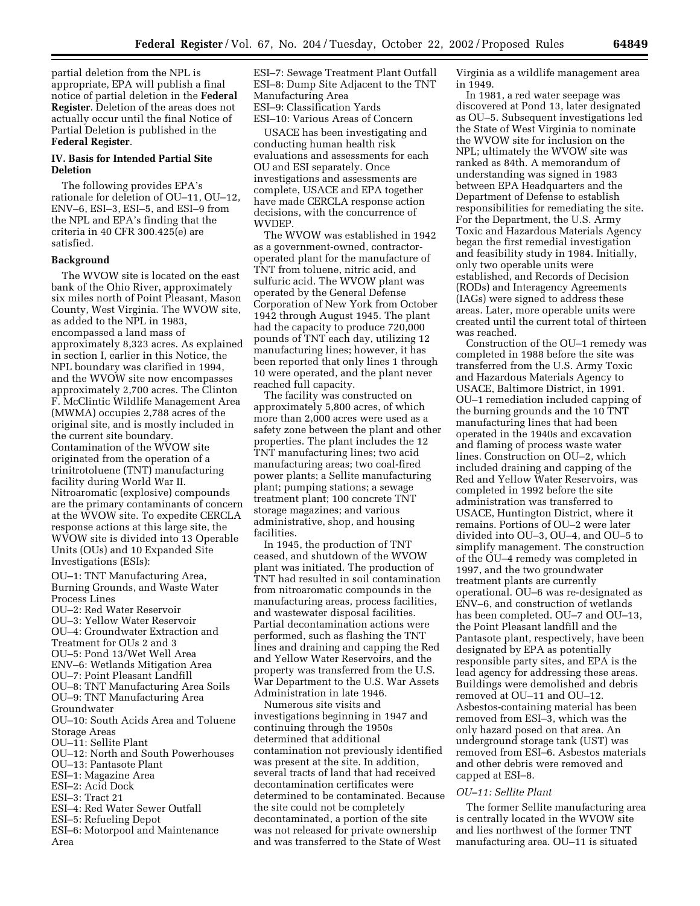partial deletion from the NPL is appropriate, EPA will publish a final notice of partial deletion in the **Federal Register**. Deletion of the areas does not actually occur until the final Notice of Partial Deletion is published in the **Federal Register**.

### **IV. Basis for Intended Partial Site Deletion**

The following provides EPA's rationale for deletion of OU–11, OU–12, ENV–6, ESI–3, ESI–5, and ESI–9 from the NPL and EPA's finding that the criteria in 40 CFR 300.425(e) are satisfied.

## **Background**

The WVOW site is located on the east bank of the Ohio River, approximately six miles north of Point Pleasant, Mason County, West Virginia. The WVOW site, as added to the NPL in 1983, encompassed a land mass of approximately 8,323 acres. As explained in section I, earlier in this Notice, the NPL boundary was clarified in 1994, and the WVOW site now encompasses approximately 2,700 acres. The Clinton F. McClintic Wildlife Management Area (MWMA) occupies 2,788 acres of the original site, and is mostly included in the current site boundary. Contamination of the WVOW site originated from the operation of a trinitrotoluene (TNT) manufacturing facility during World War II. Nitroaromatic (explosive) compounds are the primary contaminants of concern at the WVOW site. To expedite CERCLA response actions at this large site, the WVOW site is divided into 13 Operable Units (OUs) and 10 Expanded Site Investigations (ESIs):

OU–1: TNT Manufacturing Area, Burning Grounds, and Waste Water Process Lines

- OU–2: Red Water Reservoir
- OU–3: Yellow Water Reservoir
- OU–4: Groundwater Extraction and
- Treatment for OUs 2 and 3
- OU–5: Pond 13/Wet Well Area
- ENV–6: Wetlands Mitigation Area
- OU–7: Point Pleasant Landfill
- OU–8: TNT Manufacturing Area Soils OU–9: TNT Manufacturing Area
- Groundwater

OU–10: South Acids Area and Toluene Storage Areas

- OU–11: Sellite Plant
- OU–12: North and South Powerhouses
- OU–13: Pantasote Plant
- ESI–1: Magazine Area
- ESI–2: Acid Dock
- ESI–3: Tract 21
- ESI–4: Red Water Sewer Outfall
- ESI–5: Refueling Depot
- ESI–6: Motorpool and Maintenance Area

ESI–7: Sewage Treatment Plant Outfall ESI–8: Dump Site Adjacent to the TNT Manufacturing Area ESI–9: Classification Yards ESI–10: Various Areas of Concern

USACE has been investigating and conducting human health risk evaluations and assessments for each OU and ESI separately. Once investigations and assessments are complete, USACE and EPA together have made CERCLA response action decisions, with the concurrence of WVDEP.

The WVOW was established in 1942 as a government-owned, contractoroperated plant for the manufacture of TNT from toluene, nitric acid, and sulfuric acid. The WVOW plant was operated by the General Defense Corporation of New York from October 1942 through August 1945. The plant had the capacity to produce 720,000 pounds of TNT each day, utilizing 12 manufacturing lines; however, it has been reported that only lines 1 through 10 were operated, and the plant never reached full capacity.

The facility was constructed on approximately 5,800 acres, of which more than 2,000 acres were used as a safety zone between the plant and other properties. The plant includes the 12 TNT manufacturing lines; two acid manufacturing areas; two coal-fired power plants; a Sellite manufacturing plant; pumping stations; a sewage treatment plant; 100 concrete TNT storage magazines; and various administrative, shop, and housing facilities.

In 1945, the production of TNT ceased, and shutdown of the WVOW plant was initiated. The production of TNT had resulted in soil contamination from nitroaromatic compounds in the manufacturing areas, process facilities, and wastewater disposal facilities. Partial decontamination actions were performed, such as flashing the TNT lines and draining and capping the Red and Yellow Water Reservoirs, and the property was transferred from the U.S. War Department to the U.S. War Assets Administration in late 1946.

Numerous site visits and investigations beginning in 1947 and continuing through the 1950s determined that additional contamination not previously identified was present at the site. In addition, several tracts of land that had received decontamination certificates were determined to be contaminated. Because the site could not be completely decontaminated, a portion of the site was not released for private ownership and was transferred to the State of West

Virginia as a wildlife management area in 1949.

In 1981, a red water seepage was discovered at Pond 13, later designated as OU–5. Subsequent investigations led the State of West Virginia to nominate the WVOW site for inclusion on the NPL; ultimately the WVOW site was ranked as 84th. A memorandum of understanding was signed in 1983 between EPA Headquarters and the Department of Defense to establish responsibilities for remediating the site. For the Department, the U.S. Army Toxic and Hazardous Materials Agency began the first remedial investigation and feasibility study in 1984. Initially, only two operable units were established, and Records of Decision (RODs) and Interagency Agreements (IAGs) were signed to address these areas. Later, more operable units were created until the current total of thirteen was reached.

Construction of the OU–1 remedy was completed in 1988 before the site was transferred from the U.S. Army Toxic and Hazardous Materials Agency to USACE, Baltimore District, in 1991. OU–1 remediation included capping of the burning grounds and the 10 TNT manufacturing lines that had been operated in the 1940s and excavation and flaming of process waste water lines. Construction on OU–2, which included draining and capping of the Red and Yellow Water Reservoirs, was completed in 1992 before the site administration was transferred to USACE, Huntington District, where it remains. Portions of OU–2 were later divided into OU–3, OU–4, and OU–5 to simplify management. The construction of the OU–4 remedy was completed in 1997, and the two groundwater treatment plants are currently operational. OU–6 was re-designated as ENV–6, and construction of wetlands has been completed. OU–7 and OU–13, the Point Pleasant landfill and the Pantasote plant, respectively, have been designated by EPA as potentially responsible party sites, and EPA is the lead agency for addressing these areas. Buildings were demolished and debris removed at OU–11 and OU–12. Asbestos-containing material has been removed from ESI–3, which was the only hazard posed on that area. An underground storage tank (UST) was removed from ESI–6. Asbestos materials and other debris were removed and capped at ESI–8.

#### *OU–11: Sellite Plant*

The former Sellite manufacturing area is centrally located in the WVOW site and lies northwest of the former TNT manufacturing area. OU–11 is situated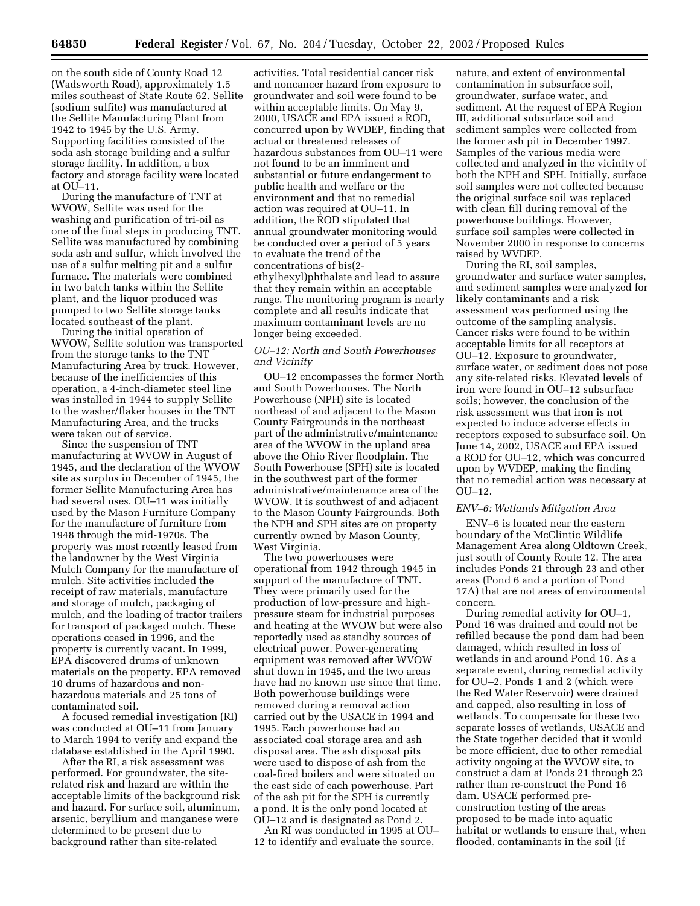on the south side of County Road 12 (Wadsworth Road), approximately 1.5 miles southeast of State Route 62. Sellite (sodium sulfite) was manufactured at the Sellite Manufacturing Plant from 1942 to 1945 by the U.S. Army. Supporting facilities consisted of the soda ash storage building and a sulfur storage facility. In addition, a box factory and storage facility were located at OU–11.

During the manufacture of TNT at WVOW, Sellite was used for the washing and purification of tri-oil as one of the final steps in producing TNT. Sellite was manufactured by combining soda ash and sulfur, which involved the use of a sulfur melting pit and a sulfur furnace. The materials were combined in two batch tanks within the Sellite plant, and the liquor produced was pumped to two Sellite storage tanks located southeast of the plant.

During the initial operation of WVOW, Sellite solution was transported from the storage tanks to the TNT Manufacturing Area by truck. However, because of the inefficiencies of this operation, a 4-inch-diameter steel line was installed in 1944 to supply Sellite to the washer/flaker houses in the TNT Manufacturing Area, and the trucks were taken out of service.

Since the suspension of TNT manufacturing at WVOW in August of 1945, and the declaration of the WVOW site as surplus in December of 1945, the former Sellite Manufacturing Area has had several uses. OU–11 was initially used by the Mason Furniture Company for the manufacture of furniture from 1948 through the mid-1970s. The property was most recently leased from the landowner by the West Virginia Mulch Company for the manufacture of mulch. Site activities included the receipt of raw materials, manufacture and storage of mulch, packaging of mulch, and the loading of tractor trailers for transport of packaged mulch. These operations ceased in 1996, and the property is currently vacant. In 1999, EPA discovered drums of unknown materials on the property. EPA removed 10 drums of hazardous and nonhazardous materials and 25 tons of contaminated soil.

A focused remedial investigation (RI) was conducted at OU–11 from January to March 1994 to verify and expand the database established in the April 1990.

After the RI, a risk assessment was performed. For groundwater, the siterelated risk and hazard are within the acceptable limits of the background risk and hazard. For surface soil, aluminum, arsenic, beryllium and manganese were determined to be present due to background rather than site-related

activities. Total residential cancer risk and noncancer hazard from exposure to groundwater and soil were found to be within acceptable limits. On May 9, 2000, USACE and EPA issued a ROD, concurred upon by WVDEP, finding that actual or threatened releases of hazardous substances from OU–11 were not found to be an imminent and substantial or future endangerment to public health and welfare or the environment and that no remedial action was required at OU–11. In addition, the ROD stipulated that annual groundwater monitoring would be conducted over a period of 5 years to evaluate the trend of the concentrations of bis(2 ethylhexyl)phthalate and lead to assure that they remain within an acceptable range. The monitoring program is nearly complete and all results indicate that maximum contaminant levels are no longer being exceeded.

## *OU–12: North and South Powerhouses and Vicinity*

OU–12 encompasses the former North and South Powerhouses. The North Powerhouse (NPH) site is located northeast of and adjacent to the Mason County Fairgrounds in the northeast part of the administrative/maintenance area of the WVOW in the upland area above the Ohio River floodplain. The South Powerhouse (SPH) site is located in the southwest part of the former administrative/maintenance area of the WVOW. It is southwest of and adjacent to the Mason County Fairgrounds. Both the NPH and SPH sites are on property currently owned by Mason County, West Virginia.

The two powerhouses were operational from 1942 through 1945 in support of the manufacture of TNT. They were primarily used for the production of low-pressure and highpressure steam for industrial purposes and heating at the WVOW but were also reportedly used as standby sources of electrical power. Power-generating equipment was removed after WVOW shut down in 1945, and the two areas have had no known use since that time. Both powerhouse buildings were removed during a removal action carried out by the USACE in 1994 and 1995. Each powerhouse had an associated coal storage area and ash disposal area. The ash disposal pits were used to dispose of ash from the coal-fired boilers and were situated on the east side of each powerhouse. Part of the ash pit for the SPH is currently a pond. It is the only pond located at OU–12 and is designated as Pond 2.

An RI was conducted in 1995 at OU– 12 to identify and evaluate the source,

nature, and extent of environmental contamination in subsurface soil, groundwater, surface water, and sediment. At the request of EPA Region III, additional subsurface soil and sediment samples were collected from the former ash pit in December 1997. Samples of the various media were collected and analyzed in the vicinity of both the NPH and SPH. Initially, surface soil samples were not collected because the original surface soil was replaced with clean fill during removal of the powerhouse buildings. However, surface soil samples were collected in November 2000 in response to concerns raised by WVDEP.

During the RI, soil samples, groundwater and surface water samples, and sediment samples were analyzed for likely contaminants and a risk assessment was performed using the outcome of the sampling analysis. Cancer risks were found to be within acceptable limits for all receptors at OU–12. Exposure to groundwater, surface water, or sediment does not pose any site-related risks. Elevated levels of iron were found in OU–12 subsurface soils; however, the conclusion of the risk assessment was that iron is not expected to induce adverse effects in receptors exposed to subsurface soil. On June 14, 2002, USACE and EPA issued a ROD for OU–12, which was concurred upon by WVDEP, making the finding that no remedial action was necessary at OU–12.

#### *ENV–6: Wetlands Mitigation Area*

ENV–6 is located near the eastern boundary of the McClintic Wildlife Management Area along Oldtown Creek, just south of County Route 12. The area includes Ponds 21 through 23 and other areas (Pond 6 and a portion of Pond 17A) that are not areas of environmental concern.

During remedial activity for OU–1, Pond 16 was drained and could not be refilled because the pond dam had been damaged, which resulted in loss of wetlands in and around Pond 16. As a separate event, during remedial activity for OU–2, Ponds 1 and 2 (which were the Red Water Reservoir) were drained and capped, also resulting in loss of wetlands. To compensate for these two separate losses of wetlands, USACE and the State together decided that it would be more efficient, due to other remedial activity ongoing at the WVOW site, to construct a dam at Ponds 21 through 23 rather than re-construct the Pond 16 dam. USACE performed preconstruction testing of the areas proposed to be made into aquatic habitat or wetlands to ensure that, when flooded, contaminants in the soil (if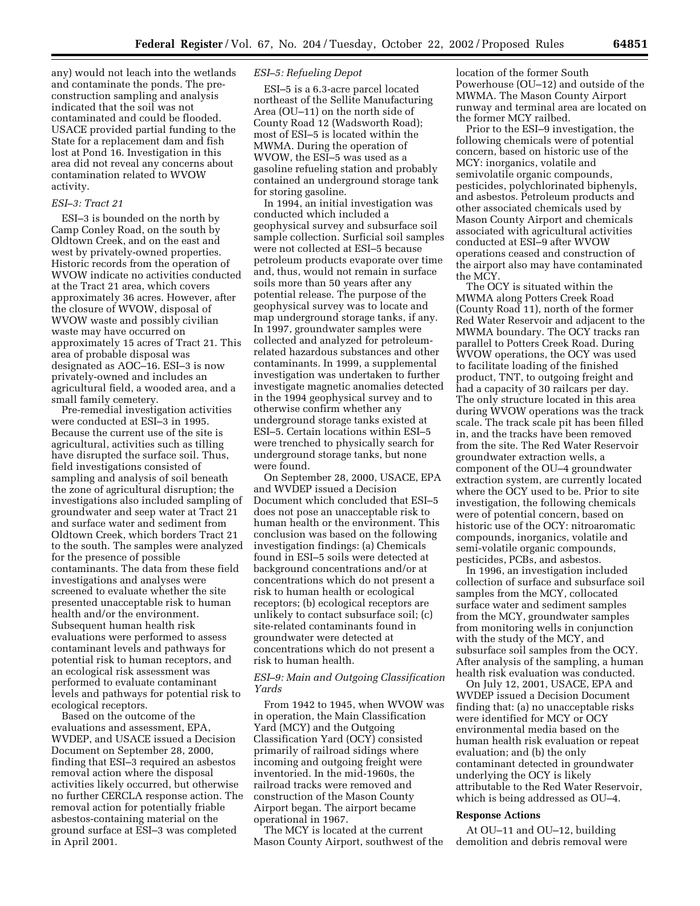any) would not leach into the wetlands and contaminate the ponds. The preconstruction sampling and analysis indicated that the soil was not contaminated and could be flooded. USACE provided partial funding to the State for a replacement dam and fish lost at Pond 16. Investigation in this area did not reveal any concerns about contamination related to WVOW activity.

#### *ESI–3: Tract 21*

ESI–3 is bounded on the north by Camp Conley Road, on the south by Oldtown Creek, and on the east and west by privately-owned properties. Historic records from the operation of WVOW indicate no activities conducted at the Tract 21 area, which covers approximately 36 acres. However, after the closure of WVOW, disposal of WVOW waste and possibly civilian waste may have occurred on approximately 15 acres of Tract 21. This area of probable disposal was designated as AOC–16. ESI–3 is now privately-owned and includes an agricultural field, a wooded area, and a small family cemetery.

Pre-remedial investigation activities were conducted at ESI–3 in 1995. Because the current use of the site is agricultural, activities such as tilling have disrupted the surface soil. Thus, field investigations consisted of sampling and analysis of soil beneath the zone of agricultural disruption; the investigations also included sampling of groundwater and seep water at Tract 21 and surface water and sediment from Oldtown Creek, which borders Tract 21 to the south. The samples were analyzed for the presence of possible contaminants. The data from these field investigations and analyses were screened to evaluate whether the site presented unacceptable risk to human health and/or the environment. Subsequent human health risk evaluations were performed to assess contaminant levels and pathways for potential risk to human receptors, and an ecological risk assessment was performed to evaluate contaminant levels and pathways for potential risk to ecological receptors.

Based on the outcome of the evaluations and assessment, EPA, WVDEP, and USACE issued a Decision Document on September 28, 2000, finding that ESI–3 required an asbestos removal action where the disposal activities likely occurred, but otherwise no further CERCLA response action. The removal action for potentially friable asbestos-containing material on the ground surface at ESI–3 was completed in April 2001.

## *ESI–5: Refueling Depot*

ESI–5 is a 6.3-acre parcel located northeast of the Sellite Manufacturing Area (OU–11) on the north side of County Road 12 (Wadsworth Road); most of ESI–5 is located within the MWMA. During the operation of WVOW, the ESI–5 was used as a gasoline refueling station and probably contained an underground storage tank for storing gasoline.

In 1994, an initial investigation was conducted which included a geophysical survey and subsurface soil sample collection. Surficial soil samples were not collected at ESI–5 because petroleum products evaporate over time and, thus, would not remain in surface soils more than 50 years after any potential release. The purpose of the geophysical survey was to locate and map underground storage tanks, if any. In 1997, groundwater samples were collected and analyzed for petroleumrelated hazardous substances and other contaminants. In 1999, a supplemental investigation was undertaken to further investigate magnetic anomalies detected in the 1994 geophysical survey and to otherwise confirm whether any underground storage tanks existed at ESI–5. Certain locations within ESI–5 were trenched to physically search for underground storage tanks, but none were found.

On September 28, 2000, USACE, EPA and WVDEP issued a Decision Document which concluded that ESI–5 does not pose an unacceptable risk to human health or the environment. This conclusion was based on the following investigation findings: (a) Chemicals found in ESI–5 soils were detected at background concentrations and/or at concentrations which do not present a risk to human health or ecological receptors; (b) ecological receptors are unlikely to contact subsurface soil; (c) site-related contaminants found in groundwater were detected at concentrations which do not present a risk to human health.

## *ESI–9: Main and Outgoing Classification Yards*

From 1942 to 1945, when WVOW was in operation, the Main Classification Yard (MCY) and the Outgoing Classification Yard (OCY) consisted primarily of railroad sidings where incoming and outgoing freight were inventoried. In the mid-1960s, the railroad tracks were removed and construction of the Mason County Airport began. The airport became operational in 1967.

The MCY is located at the current Mason County Airport, southwest of the location of the former South Powerhouse (OU–12) and outside of the MWMA. The Mason County Airport runway and terminal area are located on the former MCY railbed.

Prior to the ESI–9 investigation, the following chemicals were of potential concern, based on historic use of the MCY: inorganics, volatile and semivolatile organic compounds, pesticides, polychlorinated biphenyls, and asbestos. Petroleum products and other associated chemicals used by Mason County Airport and chemicals associated with agricultural activities conducted at ESI–9 after WVOW operations ceased and construction of the airport also may have contaminated the MCY.

The OCY is situated within the MWMA along Potters Creek Road (County Road 11), north of the former Red Water Reservoir and adjacent to the MWMA boundary. The OCY tracks ran parallel to Potters Creek Road. During WVOW operations, the OCY was used to facilitate loading of the finished product, TNT, to outgoing freight and had a capacity of 30 railcars per day. The only structure located in this area during WVOW operations was the track scale. The track scale pit has been filled in, and the tracks have been removed from the site. The Red Water Reservoir groundwater extraction wells, a component of the OU–4 groundwater extraction system, are currently located where the OCY used to be. Prior to site investigation, the following chemicals were of potential concern, based on historic use of the OCY: nitroaromatic compounds, inorganics, volatile and semi-volatile organic compounds, pesticides, PCBs, and asbestos.

In 1996, an investigation included collection of surface and subsurface soil samples from the MCY, collocated surface water and sediment samples from the MCY, groundwater samples from monitoring wells in conjunction with the study of the MCY, and subsurface soil samples from the OCY. After analysis of the sampling, a human health risk evaluation was conducted.

On July 12, 2001, USACE, EPA and WVDEP issued a Decision Document finding that: (a) no unacceptable risks were identified for MCY or OCY environmental media based on the human health risk evaluation or repeat evaluation; and (b) the only contaminant detected in groundwater underlying the OCY is likely attributable to the Red Water Reservoir, which is being addressed as OU–4.

#### **Response Actions**

At OU–11 and OU–12, building demolition and debris removal were